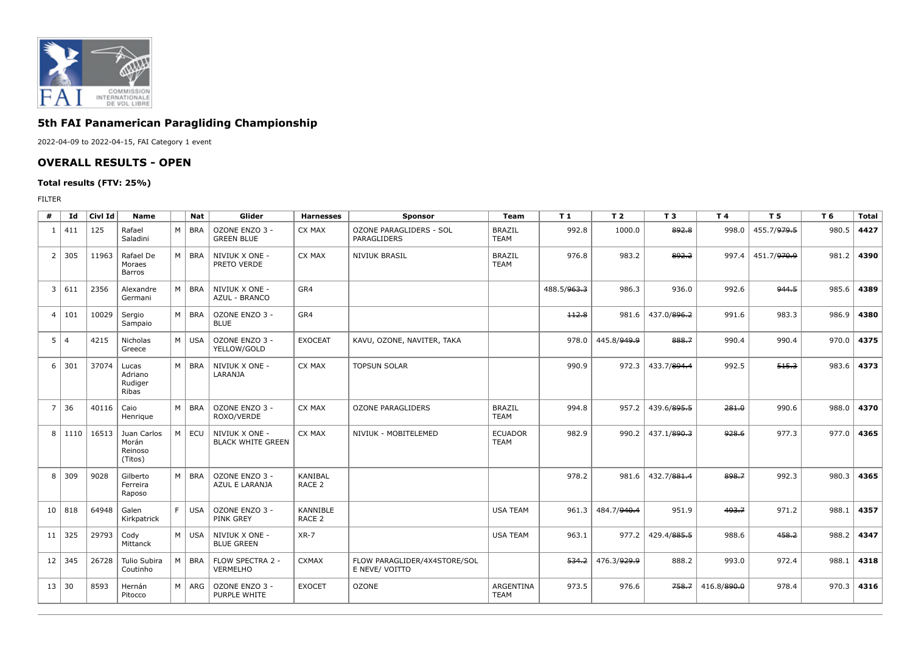

## **5th FAI Panamerican Paragliding Championship**

2022-04-09 to 2022-04-15, FAI Category 1 event

## **OVERALL RESULTS - OPEN**

## **Total results (FTV: 25%)**

FILTER

| #              | Id             | Civl Id | <b>Name</b>                                |   | <b>Nat</b> | Glider                                     | <b>Harnesses</b>                    | Sponsor                                        | Team                          | T <sub>1</sub> | T <sub>2</sub> | <b>T3</b>   | T 4         | T <sub>5</sub>                | T 6   | <b>Total</b> |
|----------------|----------------|---------|--------------------------------------------|---|------------|--------------------------------------------|-------------------------------------|------------------------------------------------|-------------------------------|----------------|----------------|-------------|-------------|-------------------------------|-------|--------------|
| 1              | 411            | 125     | Rafael<br>Saladini                         | M | <b>BRA</b> | OZONE ENZO 3 -<br><b>GREEN BLUE</b>        | CX MAX                              | OZONE PARAGLIDERS - SOL<br>PARAGLIDERS         | <b>BRAZIL</b><br><b>TEAM</b>  | 992.8          | 1000.0         | 892.8       | 998.0       | 455.7/979.5                   | 980.5 | 4427         |
| $\overline{2}$ | 305            | 11963   | Rafael De<br>Moraes<br>Barros              | M | <b>BRA</b> | NIVIUK X ONE -<br>PRETO VERDE              | CX MAX                              | <b>NIVIUK BRASIL</b>                           | <b>BRAZIL</b><br><b>TEAM</b>  | 976.8          | 983.2          | 892.2       |             | 997.4 451.7/ <del>970.9</del> | 981.2 | 4390         |
| 3              | 611            | 2356    | Alexandre<br>Germani                       | M | <b>BRA</b> | NIVIUK X ONE -<br>AZUL - BRANCO            | GR4                                 |                                                |                               | 488.5/963.3    | 986.3          | 936.0       | 992.6       | 944.5                         | 985.6 | 4389         |
| $\overline{4}$ | 101            | 10029   | Sergio<br>Sampaio                          | M | BRA        | OZONE ENZO 3 -<br><b>BLUE</b>              | GR4                                 |                                                |                               | 112.8          | 981.6          | 437.0/896.2 | 991.6       | 983.3                         | 986.9 | 4380         |
| 5              | $\overline{4}$ | 4215    | Nicholas<br>Greece                         | M | USA        | OZONE ENZO 3 -<br>YELLOW/GOLD              | <b>EXOCEAT</b>                      | KAVU, OZONE, NAVITER, TAKA                     |                               | 978.0          | 445.8/949.9    | 888.7       | 990.4       | 990.4                         | 970.0 | 4375         |
| 6              | 301            | 37074   | Lucas<br>Adriano<br>Rudiger<br>Ribas       | M | BRA        | NIVIUK X ONE -<br>LARANJA                  | CX MAX                              | <b>TOPSUN SOLAR</b>                            |                               | 990.9          | 972.3          | 433.7/894.4 | 992.5       | 515.3                         | 983.6 | 4373         |
| $\overline{7}$ | 36             | 40116   | Caio<br>Henrique                           | M | BRA        | OZONE ENZO 3 -<br>ROXO/VERDE               | CX MAX                              | <b>OZONE PARAGLIDERS</b>                       | <b>BRAZIL</b><br><b>TEAM</b>  | 994.8          | 957.2          | 439.6/895.5 | 281.0       | 990.6                         | 988.0 | 4370         |
| 8              | 1110           | 16513   | Juan Carlos<br>Morán<br>Reinoso<br>(Titos) | M | ECU        | NIVIUK X ONE -<br><b>BLACK WHITE GREEN</b> | CX MAX                              | NIVIUK - MOBITELEMED                           | <b>ECUADOR</b><br><b>TEAM</b> | 982.9          | 990.2          | 437.1/890.3 | 928.6       | 977.3                         | 977.0 | 4365         |
| 8              | 309            | 9028    | Gilberto<br>Ferreira<br>Raposo             | M | BRA        | OZONE ENZO 3 -<br>AZUL E LARANJA           | <b>KANIBAL</b><br>RACE <sub>2</sub> |                                                |                               | 978.2          | 981.6          | 432.7/881.4 | 898.7       | 992.3                         | 980.3 | 4365         |
| 10             | 818            | 64948   | Galen<br>Kirkpatrick                       | F | <b>USA</b> | OZONE ENZO 3 -<br>PINK GREY                | KANNIBLE<br>RACE <sub>2</sub>       |                                                | <b>USA TEAM</b>               | 961.3          | 484.7/940.4    | 951.9       | 493.7       | 971.2                         | 988.1 | 4357         |
| 11             | 325            | 29793   | Cody<br>Mittanck                           | M | USA        | NIVIUK X ONE -<br><b>BLUE GREEN</b>        | $XR-7$                              |                                                | <b>USA TEAM</b>               | 963.1          | 977.2          | 429.4/885.5 | 988.6       | 458.2                         | 988.2 | 4347         |
| 12             | 345            | 26728   | Tulio Subira<br>Coutinho                   | M | <b>BRA</b> | FLOW SPECTRA 2 -<br>VERMELHO               | <b>CXMAX</b>                        | FLOW PARAGLIDER/4X4STORE/SOL<br>E NEVE/ VOITTO |                               | 534.2          | 476.3/929.9    | 888.2       | 993.0       | 972.4                         | 988.1 | 4318         |
| 13             | 30             | 8593    | Hernán<br>Pitocco                          | M | ARG        | OZONE ENZO 3 -<br>PURPLE WHITE             | <b>EXOCET</b>                       | <b>OZONE</b>                                   | ARGENTINA<br><b>TEAM</b>      | 973.5          | 976.6          | 758.7       | 416.8/890.0 | 978.4                         | 970.3 | 4316         |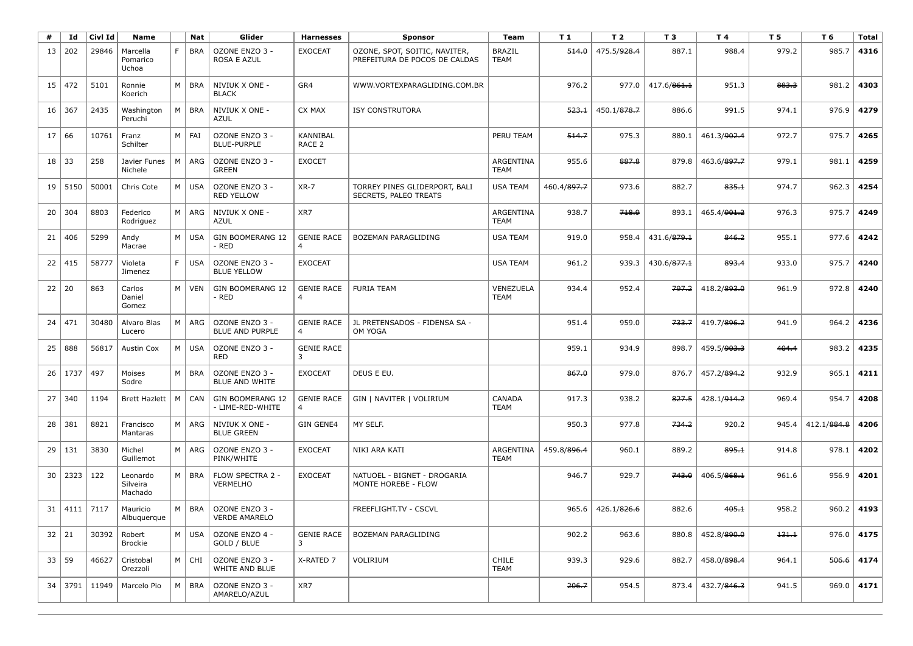| #            | Id        | Civl Id | Name                            |    | Nat        | Glider                                      | <b>Harnesses</b>                    | <b>Sponsor</b>                                                 | Team                         | T 1         | T 2         | T <sub>3</sub> | T 4               | T 5   | T 6         | <b>Total</b> |
|--------------|-----------|---------|---------------------------------|----|------------|---------------------------------------------|-------------------------------------|----------------------------------------------------------------|------------------------------|-------------|-------------|----------------|-------------------|-------|-------------|--------------|
| 13           | 202       | 29846   | Marcella<br>Pomarico<br>Uchoa   | F. | <b>BRA</b> | OZONE ENZO 3 -<br>ROSA E AZUL               | <b>EXOCEAT</b>                      | OZONE, SPOT, SOITIC, NAVITER,<br>PREFEITURA DE POCOS DE CALDAS | <b>BRAZIL</b><br><b>TEAM</b> | 514.0       | 475.5/928.4 | 887.1          | 988.4             | 979.2 | 985.7       | 4316         |
| 15           | 472       | 5101    | Ronnie<br>Koerich               | M  | <b>BRA</b> | NIVIUK X ONE -<br><b>BLACK</b>              | GR4                                 | WWW.VORTEXPARAGLIDING.COM.BR                                   |                              | 976.2       | 977.0       | 417.6/861.1    | 951.3             | 883.3 | 981.2       | 4303         |
| 16           | 367       | 2435    | Washington<br>Peruchi           | M  | <b>BRA</b> | NIVIUK X ONE -<br><b>AZUL</b>               | CX MAX                              | <b>ISY CONSTRUTORA</b>                                         |                              | 523.1       | 450.1/878.7 | 886.6          | 991.5             | 974.1 | 976.9       | 4279         |
| 17           | 66        | 10761   | Franz<br>Schilter               | M  | FAI        | OZONE ENZO 3 -<br><b>BLUE-PURPLE</b>        | KANNIBAL<br>RACE <sub>2</sub>       |                                                                | PERU TEAM                    | 514.7       | 975.3       | 880.1          | 461.3/902.4       | 972.7 | 975.7       | 4265         |
| 18           | 33        | 258     | Javier Funes<br>Nichele         | M  | ARG        | OZONE ENZO 3 -<br><b>GREEN</b>              | <b>EXOCET</b>                       |                                                                | ARGENTINA<br><b>TEAM</b>     | 955.6       | 887.8       | 879.8          | 463.6/897.7       | 979.1 | 981.1       | 4259         |
| 19           | 5150      | 50001   | Chris Cote                      | M  | <b>USA</b> | OZONE ENZO 3 -<br><b>RED YELLOW</b>         | $XR-7$                              | TORREY PINES GLIDERPORT, BALI<br>SECRETS, PALEO TREATS         | <b>USA TEAM</b>              | 460.4/897.7 | 973.6       | 882.7          | 835.1             | 974.7 | 962.3       | 4254         |
| 20           | 304       | 8803    | Federico<br>Rodriguez           | M  | ARG        | NIVIUK X ONE -<br>AZUL                      | XR7                                 |                                                                | ARGENTINA<br><b>TEAM</b>     | 938.7       | 718.9       | 893.1          | 465.4/901.2       | 976.3 | 975.7       | 4249         |
| 21           | 406       | 5299    | Andy<br>Macrae                  | M  | <b>USA</b> | GIN BOOMERANG 12<br>- RED                   | <b>GENIE RACE</b>                   | <b>BOZEMAN PARAGLIDING</b>                                     | <b>USA TEAM</b>              | 919.0       | 958.4       | 431.6/879.1    | 846.2             | 955.1 | 977.6       | 4242         |
| 22           | 415       | 58777   | Violeta<br>Jimenez              | F. | <b>USA</b> | OZONE ENZO 3 -<br><b>BLUE YELLOW</b>        | <b>EXOCEAT</b>                      |                                                                | <b>USA TEAM</b>              | 961.2       | 939.3       | 430.6/877.1    | 893.4             | 933.0 | 975.7       | 4240         |
| 22           | 20        | 863     | Carlos<br>Daniel<br>Gomez       | M  | <b>VEN</b> | GIN BOOMERANG 12<br>- RED                   | <b>GENIE RACE</b>                   | <b>FURIA TEAM</b>                                              | VENEZUELA<br><b>TEAM</b>     | 934.4       | 952.4       | 797.2          | 418.2/893.0       | 961.9 | 972.8       | 4240         |
| 24           | 471       | 30480   | Alvaro Blas<br>Lucero           | M  | ARG        | OZONE ENZO 3 -<br><b>BLUE AND PURPLE</b>    | <b>GENIE RACE</b><br>$\overline{4}$ | JL PRETENSADOS - FIDENSA SA -<br>OM YOGA                       |                              | 951.4       | 959.0       | 733.7          | 419.7/896.2       | 941.9 | 964.2       | 4236         |
| 25           | 888       | 56817   | Austin Cox                      | M  | <b>USA</b> | OZONE ENZO 3 -<br>RED                       | <b>GENIE RACE</b><br>3              |                                                                |                              | 959.1       | 934.9       | 898.7          | 459.5/903.3       | 404.4 | 983.2       | 4235         |
| 26           | 1737      | 497     | Moises<br>Sodre                 | M  | <b>BRA</b> | OZONE ENZO 3 -<br><b>BLUE AND WHITE</b>     | <b>EXOCEAT</b>                      | DEUS E EU.                                                     |                              | 867.0       | 979.0       | 876.7          | 457.2/894.2       | 932.9 | 965.1       | 4211         |
| 27           | 340       | 1194    | <b>Brett Hazlett</b>            | M  | CAN        | <b>GIN BOOMERANG 12</b><br>- LIME-RED-WHITE | <b>GENIE RACE</b><br>$\overline{4}$ | GIN   NAVITER   VOLIRIUM                                       | CANADA<br><b>TEAM</b>        | 917.3       | 938.2       | 827.5          | 428.1/914.2       | 969.4 | 954.7       | 4208         |
| 28           | 381       | 8821    | Francisco<br>Mantaras           | M  | ARG        | NIVIUK X ONE -<br><b>BLUE GREEN</b>         | <b>GIN GENE4</b>                    | MY SELF.                                                       |                              | 950.3       | 977.8       | 734.2          | 920.2             | 945.4 | 412.1/884.8 | 4206         |
| 29           | 131       | 3830    | Michel<br>Guillemot             | M  | ARG        | OZONE ENZO 3 -<br>PINK/WHITE                | <b>EXOCEAT</b>                      | NIKI ARA KATI                                                  | ARGENTINA<br><b>TEAM</b>     | 459.8/896.4 | 960.1       | 889.2          | 895.1             | 914.8 | 978.1       | 4202         |
| 30           | 2323      | 122     | Leonardo<br>Silveira<br>Machado | M  | <b>BRA</b> | FLOW SPECTRA 2 -<br><b>VERMELHO</b>         | <b>EXOCEAT</b>                      | NATUOEL - BIGNET - DROGARIA<br>MONTE HOREBE - FLOW             |                              | 946.7       | 929.7       | 743.0          | 406.5/868.1       | 961.6 | 956.9       | 4201         |
| 31           | 4111      | 7117    | Mauricio<br>Albuquerque         | M  | <b>BRA</b> | OZONE ENZO 3 -<br><b>VERDE AMARELO</b>      |                                     | FREEFLIGHT.TV - CSCVL                                          |                              | 965.6       | 426.1/826.6 | 882.6          | 405.1             | 958.2 | 960.2       | 4193         |
| $32 \mid 21$ |           | 30392   | Robert<br>Brockie               | M  | <b>USA</b> | OZONE ENZO 4 -<br>GOLD / BLUE               | <b>GENIE RACE</b><br>3              | BOZEMAN PARAGLIDING                                            |                              | 902.2       | 963.6       | 880.8          | 452.8/890.0       | 131.1 | 976.0       | 4175         |
|              | 33   59   | 46627   | Cristobal<br>Orezzoli           | M  | CHI        | OZONE ENZO 3 -<br>WHITE AND BLUE            | X-RATED 7                           | VOLIRIUM                                                       | CHILE<br><b>TEAM</b>         | 939.3       | 929.6       | 882.7          | 458.0/898.4       | 964.1 | 506.6       | 4174         |
|              | 34   3791 | 11949   | Marcelo Pio                     | M  | <b>BRA</b> | OZONE ENZO 3 -<br>AMARELO/AZUL              | XR7                                 |                                                                |                              | 206.7       | 954.5       |                | 873.4 432.7/846.3 | 941.5 | 969.0       | 4171         |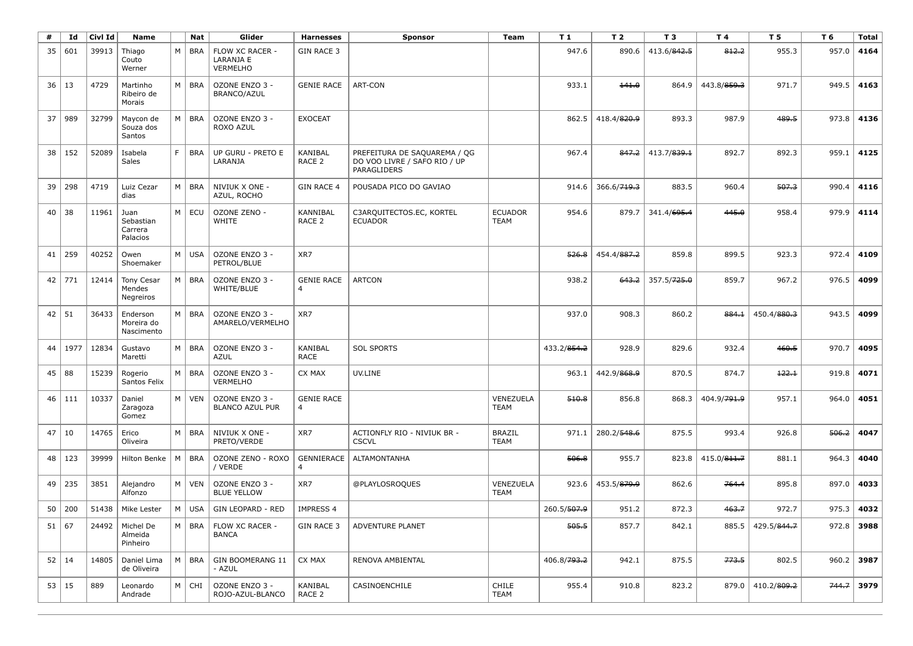| #  | Id           | Civl Id | Name                                     |    | Nat        | Glider                                          | <b>Harnesses</b>                    | <b>Sponsor</b>                                                              | Team                          | T1          | T 2         | T <sub>3</sub>          | T 4         | T <sub>5</sub>    | T 6   | <b>Total</b> |
|----|--------------|---------|------------------------------------------|----|------------|-------------------------------------------------|-------------------------------------|-----------------------------------------------------------------------------|-------------------------------|-------------|-------------|-------------------------|-------------|-------------------|-------|--------------|
| 35 | 601          | 39913   | Thiago<br>Couto<br>Werner                | M  | <b>BRA</b> | FLOW XC RACER -<br>LARANJA E<br><b>VERMELHO</b> | <b>GIN RACE 3</b>                   |                                                                             |                               | 947.6       | 890.6       | 413.6/842.5             | 812.2       | 955.3             | 957.0 | 4164         |
| 36 | 13           | 4729    | Martinho<br>Ribeiro de<br>Morais         | M  | <b>BRA</b> | OZONE ENZO 3 -<br>BRANCO/AZUL                   | <b>GENIE RACE</b>                   | ART-CON                                                                     |                               | 933.1       | 141.0       | 864.9                   | 443.8/859.3 | 971.7             | 949.5 | 4163         |
| 37 | 989          | 32799   | Maycon de<br>Souza dos<br>Santos         | M  | <b>BRA</b> | OZONE ENZO 3 -<br>ROXO AZUL                     | <b>EXOCEAT</b>                      |                                                                             |                               | 862.5       | 418.4/820.9 | 893.3                   | 987.9       | 489.5             | 973.8 | 4136         |
| 38 | 152          | 52089   | Isabela<br>Sales                         | F. | <b>BRA</b> | UP GURU - PRETO E<br>LARANJA                    | KANIBAL<br>RACE 2                   | PREFEITURA DE SAQUAREMA / QG<br>DO VOO LIVRE / SAFO RIO / UP<br>PARAGLIDERS |                               | 967.4       | 847.2       | 413.7/839.1             | 892.7       | 892.3             | 959.1 | 4125         |
| 39 | 298          | 4719    | Luiz Cezar<br>dias                       | M  | <b>BRA</b> | NIVIUK X ONE -<br>AZUL, ROCHO                   | <b>GIN RACE 4</b>                   | POUSADA PICO DO GAVIAO                                                      |                               | 914.6       | 366.6/719.3 | 883.5                   | 960.4       | 507.3             | 990.4 | 4116         |
| 40 | 38           | 11961   | Juan<br>Sebastian<br>Carrera<br>Palacios | M  | ECU        | OZONE ZENO -<br>WHITE                           | KANNIBAL<br>RACE <sub>2</sub>       | C3ARQUITECTOS.EC, KORTEL<br><b>ECUADOR</b>                                  | <b>ECUADOR</b><br><b>TEAM</b> | 954.6       | 879.7       | 341.4/695.4             | 445.0       | 958.4             | 979.9 | 4114         |
| 41 | 259          | 40252   | Owen<br>Shoemaker                        | M  | <b>USA</b> | OZONE ENZO 3 -<br>PETROL/BLUE                   | XR7                                 |                                                                             |                               | 526.8       | 454.4/887.2 | 859.8                   | 899.5       | 923.3             | 972.4 | 4109         |
| 42 | 771          | 12414   | Tony Cesar<br>Mendes<br>Negreiros        | M  | <b>BRA</b> | OZONE ENZO 3 -<br>WHITE/BLUE                    | <b>GENIE RACE</b><br>$\overline{4}$ | <b>ARTCON</b>                                                               |                               | 938.2       | 643.2       | 357.5/ <del>725.0</del> | 859.7       | 967.2             | 976.5 | 4099         |
| 42 | 51           | 36433   | Enderson<br>Moreira do<br>Nascimento     | M  | <b>BRA</b> | OZONE ENZO 3 -<br>AMARELO/VERMELHO              | XR7                                 |                                                                             |                               | 937.0       | 908.3       | 860.2                   | 884.1       | 450.4/880.3       | 943.5 | 4099         |
| 44 | 1977         | 12834   | Gustavo<br>Maretti                       | M  | <b>BRA</b> | OZONE ENZO 3 -<br><b>AZUL</b>                   | KANIBAL<br><b>RACE</b>              | <b>SOL SPORTS</b>                                                           |                               | 433.2/854.2 | 928.9       | 829.6                   | 932.4       | 460.5             | 970.7 | 4095         |
| 45 | 88           | 15239   | Rogerio<br>Santos Felix                  | M  | <b>BRA</b> | OZONE ENZO 3 -<br>VERMELHO                      | CX MAX                              | UV.LINE                                                                     |                               | 963.1       | 442.9/868.9 | 870.5                   | 874.7       | 122.1             | 919.8 | 4071         |
| 46 | 111          | 10337   | Daniel<br>Zaragoza<br>Gomez              | M  | <b>VEN</b> | OZONE ENZO 3 -<br><b>BLANCO AZUL PUR</b>        | <b>GENIE RACE</b><br>4              |                                                                             | VENEZUELA<br><b>TEAM</b>      | 510.8       | 856.8       | 868.3                   | 404.9/791.9 | 957.1             | 964.0 | 4051         |
| 47 | 10           | 14765   | Erico<br>Oliveira                        | M  | <b>BRA</b> | NIVIUK X ONE -<br>PRETO/VERDE                   | XR7                                 | ACTIONFLY RIO - NIVIUK BR -<br><b>CSCVL</b>                                 | <b>BRAZIL</b><br><b>TEAM</b>  | 971.1       | 280.2/548.6 | 875.5                   | 993.4       | 926.8             | 506.2 | 4047         |
| 48 | 123          | 39999   | Hilton Benke                             | M  | <b>BRA</b> | OZONE ZENO - ROXO<br>/ VERDE                    | GENNIERACE<br>$\overline{4}$        | <b>ALTAMONTANHA</b>                                                         |                               | 506.8       | 955.7       | 823.8                   | 415.0/811.7 | 881.1             | 964.3 | 4040         |
| 49 | 235          | 3851    | Alejandro<br>Alfonzo                     | M  | <b>VEN</b> | OZONE ENZO 3 -<br><b>BLUE YELLOW</b>            | XR7                                 | @PLAYLOSROQUES                                                              | VENEZUELA<br><b>TEAM</b>      | 923.6       | 453.5/879.9 | 862.6                   | 764.4       | 895.8             | 897.0 | 4033         |
| 50 | 200          | 51438   | Mike Lester                              | M  | <b>USA</b> | <b>GIN LEOPARD - RED</b>                        | <b>IMPRESS 4</b>                    |                                                                             |                               | 260.5/507.9 | 951.2       | 872.3                   | 463.7       | 972.7             | 975.3 | 4032         |
|    | 51   67      | 24492   | Michel De<br>Almeida<br>Pinheiro         | M  | BRA        | FLOW XC RACER -<br><b>BANCA</b>                 | GIN RACE 3                          | ADVENTURE PLANET                                                            |                               | 505.5       | 857.7       | 842.1                   |             | 885.5 429.5/844.7 |       | $972.8$ 3988 |
|    | $52 \mid 14$ | 14805   | Daniel Lima<br>de Oliveira               | M  | <b>BRA</b> | GIN BOOMERANG 11<br>- AZUL                      | CX MAX                              | RENOVA AMBIENTAL                                                            |                               | 406.8/793.2 | 942.1       | 875.5                   | 773.5       | 802.5             | 960.2 | 3987         |
|    | $53 \mid 15$ | 889     | Leonardo<br>Andrade                      | M  | CHI        | OZONE ENZO 3 -<br>ROJO-AZUL-BLANCO              | KANIBAL<br>RACE 2                   | CASINOENCHILE                                                               | <b>CHILE</b><br><b>TEAM</b>   | 955.4       | 910.8       | 823.2                   |             | 879.0 410.2/809.2 |       | $744.7$ 3979 |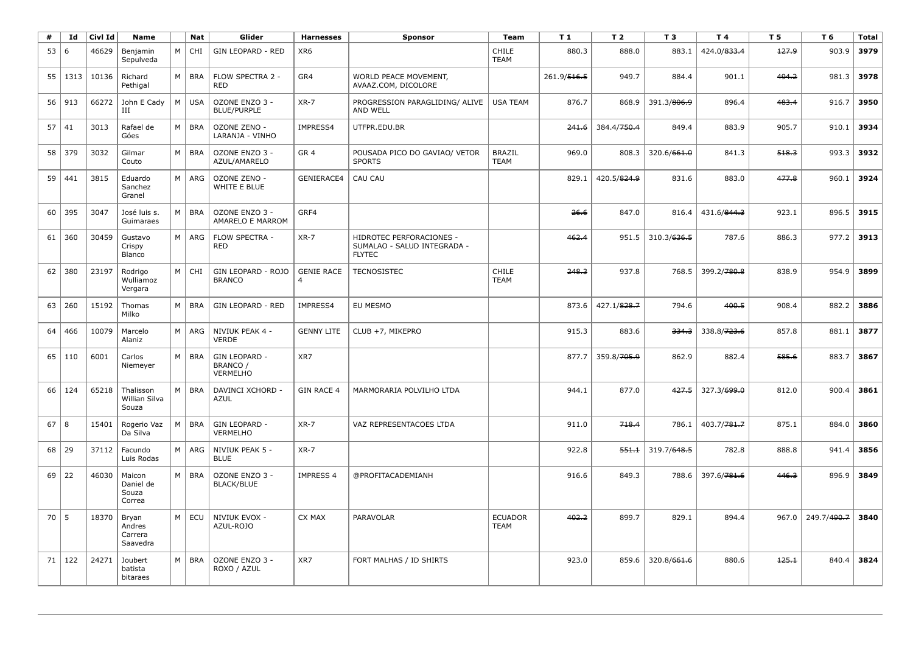| #    | Id   | Civl Id | <b>Name</b>                            |   | Nat        | Glider                                       | <b>Harnesses</b>                             | <b>Sponsor</b>                                                           | Team                          | T1          | T <sub>2</sub> | T <sub>3</sub>          | T 4                     | T 5   | T 6         | <b>Total</b> |
|------|------|---------|----------------------------------------|---|------------|----------------------------------------------|----------------------------------------------|--------------------------------------------------------------------------|-------------------------------|-------------|----------------|-------------------------|-------------------------|-------|-------------|--------------|
| 53   | 6    | 46629   | Benjamin<br>Sepulveda                  | M | <b>CHI</b> | <b>GIN LEOPARD - RED</b>                     | XR6                                          |                                                                          | CHILE<br><b>TEAM</b>          | 880.3       | 888.0          | 883.1                   | 424.0/833.4             | 127.9 | 903.9       | 3979         |
| 55   | 1313 | 10136   | Richard<br>Pethigal                    | M | <b>BRA</b> | FLOW SPECTRA 2 -<br><b>RED</b>               | GR4                                          | WORLD PEACE MOVEMENT,<br>AVAAZ.COM, DICOLORE                             |                               | 261.9/516.5 | 949.7          | 884.4                   | 901.1                   | 494.2 | 981.3       | 3978         |
| 56   | 913  | 66272   | John E Cady<br>Ш                       | M | <b>USA</b> | OZONE ENZO 3 -<br><b>BLUE/PURPLE</b>         | $XR-7$                                       | PROGRESSION PARAGLIDING/ ALIVE<br>AND WELL                               | <b>USA TEAM</b>               | 876.7       | 868.9          | 391.3/ <del>806.9</del> | 896.4                   | 483.4 | 916.7       | 3950         |
| 57   | 41   | 3013    | Rafael de<br>Góes                      | M | <b>BRA</b> | OZONE ZENO -<br>LARANJA - VINHO              | IMPRESS4                                     | UTFPR.EDU.BR                                                             |                               | 241.6       | 384.4/750.4    | 849.4                   | 883.9                   | 905.7 | 910.1       | 3934         |
| 58   | 379  | 3032    | Gilmar<br>Couto                        | M | <b>BRA</b> | OZONE ENZO 3 -<br>AZUL/AMARELO               | GR <sub>4</sub>                              | POUSADA PICO DO GAVIAO/ VETOR<br><b>SPORTS</b>                           | <b>BRAZIL</b><br><b>TEAM</b>  | 969.0       | 808.3          | 320.6/661.0             | 841.3                   | 518.3 | 993.3       | 3932         |
| 59   | 441  | 3815    | Eduardo<br>Sanchez<br>Granel           | M | ARG        | OZONE ZENO -<br>WHITE E BLUE                 | GENIERACE4                                   | <b>CAU CAU</b>                                                           |                               | 829.1       | 420.5/824.9    | 831.6                   | 883.0                   | 477.8 | 960.1       | 3924         |
| 60   | 395  | 3047    | José luis s.<br>Guimaraes              | M | <b>BRA</b> | OZONE ENZO 3 -<br>AMARELO E MARROM           | GRF4                                         |                                                                          |                               | 26.6        | 847.0          | 816.4                   | 431.6/844.3             | 923.1 | 896.5       | 3915         |
| 61   | 360  | 30459   | Gustavo<br>Crispy<br>Blanco            | M | ARG        | FLOW SPECTRA -<br><b>RED</b>                 | $XR-7$                                       | HIDROTEC PERFORACIONES -<br>SUMALAO - SALUD INTEGRADA -<br><b>FLYTEC</b> |                               | 462.4       | 951.5          | 310.3/636.5             | 787.6                   | 886.3 | 977.2       | 3913         |
| 62   | 380  | 23197   | Rodrigo<br>Wulliamoz<br>Vergara        | M | CHI        | GIN LEOPARD - ROJO<br><b>BRANCO</b>          | <b>GENIE RACE</b><br>$\overline{\mathbf{A}}$ | <b>TECNOSISTEC</b>                                                       | <b>CHILE</b><br><b>TEAM</b>   | 248.3       | 937.8          | 768.5                   | 399.2/ <del>780.8</del> | 838.9 | 954.9       | 3899         |
| 63   | 260  | 15192   | Thomas<br>Milko                        | M | <b>BRA</b> | <b>GIN LEOPARD - RED</b>                     | IMPRESS4                                     | EU MESMO                                                                 |                               | 873.6       | 427.1/828.7    | 794.6                   | 400.5                   | 908.4 | 882.2       | 3886         |
| 64   | 466  | 10079   | Marcelo<br>Alaniz                      | M | ARG        | NIVIUK PEAK 4 -<br><b>VERDE</b>              | <b>GENNY LITE</b>                            | CLUB +7, MIKEPRO                                                         |                               | 915.3       | 883.6          | 334.3                   | 338.8/723.6             | 857.8 | 881.1       | 3877         |
| 65   | 110  | 6001    | Carlos<br>Niemeyer                     | M | <b>BRA</b> | GIN LEOPARD -<br>BRANCO /<br><b>VERMELHO</b> | XR7                                          |                                                                          |                               | 877.7       | 359.8/705.9    | 862.9                   | 882.4                   | 585.6 | 883.7       | 3867         |
| 66   | 124  | 65218   | Thalisson<br>Willian Silva<br>Souza    | M | <b>BRA</b> | DAVINCI XCHORD -<br><b>AZUL</b>              | <b>GIN RACE 4</b>                            | MARMORARIA POLVILHO LTDA                                                 |                               | 944.1       | 877.0          | 427.5                   | 327.3/699.0             | 812.0 | 900.4       | 3861         |
| 67   | 8    | 15401   | Rogerio Vaz<br>Da Silva                | M | <b>BRA</b> | <b>GIN LEOPARD -</b><br><b>VERMELHO</b>      | $XR-7$                                       | VAZ REPRESENTACOES LTDA                                                  |                               | 911.0       | 718.4          | 786.1                   | 403.7/781.7             | 875.1 | 884.0       | 3860         |
| 68   | 29   | 37112   | Facundo<br>Luis Rodas                  | M | ARG        | NIVIUK PEAK 5 -<br><b>BLUE</b>               | $XR-7$                                       |                                                                          |                               | 922.8       | 551.1          | 319.7/648.5             | 782.8                   | 888.8 | 941.4       | 3856         |
| 69   | 22   | 46030   | Maicon<br>Daniel de<br>Souza<br>Correa | M | <b>BRA</b> | OZONE ENZO 3 -<br><b>BLACK/BLUE</b>          | <b>IMPRESS 4</b>                             | @PROFITACADEMIANH                                                        |                               | 916.6       | 849.3          | 788.6                   | 397.6/781.6             | 446.3 | 896.9       | 3849         |
| 70 l | 5    | 18370   | Bryan<br>Andres<br>Carrera<br>Saavedra | M | ECU        | NIVIUK EVOX -<br>AZUL-ROJO                   | CX MAX                                       | PARAVOLAR                                                                | <b>ECUADOR</b><br><b>TEAM</b> | 402.2       | 899.7          | 829.1                   | 894.4                   | 967.0 | 249.7/490.7 | 3840         |
| 71   | 122  | 24271   | Joubert<br>batista<br>bitaraes         | M | <b>BRA</b> | OZONE ENZO 3 -<br>ROXO / AZUL                | XR7                                          | FORT MALHAS / ID SHIRTS                                                  |                               | 923.0       | 859.6          | 320.8/661.6             | 880.6                   | 125.1 | 840.4       | 3824         |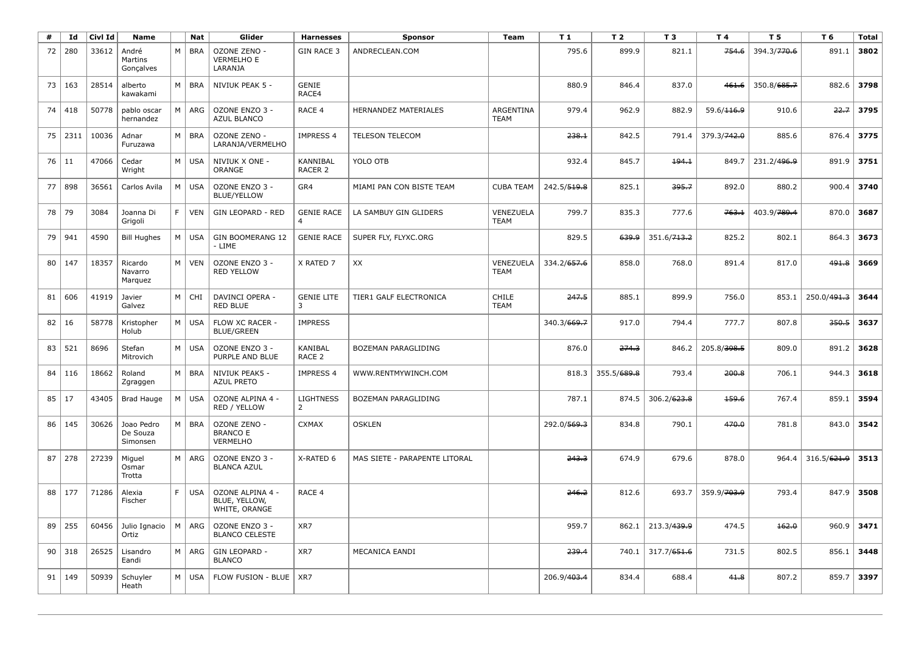| #  | Id       | Civl Id | Name                               |    | Nat        | Glider                                             | <b>Harnesses</b>                  | <b>Sponsor</b>                | Team                     | T 1         | T <sub>2</sub> | T 3                     | T 4         | T 5                     | T 6         | <b>Total</b> |
|----|----------|---------|------------------------------------|----|------------|----------------------------------------------------|-----------------------------------|-------------------------------|--------------------------|-------------|----------------|-------------------------|-------------|-------------------------|-------------|--------------|
| 72 | 280      | 33612   | André<br>Martins<br>Gonçalves      | M  | <b>BRA</b> | OZONE ZENO -<br>VERMELHO E<br>LARANJA              | <b>GIN RACE 3</b>                 | ANDRECLEAN.COM                |                          | 795.6       | 899.9          | 821.1                   | 754.6       | 394.3/770.6             | 891.1       | 3802         |
| 73 | 163      | 28514   | alberto<br>kawakami                | M  | <b>BRA</b> | NIVIUK PEAK 5 -                                    | <b>GENIE</b><br>RACE4             |                               |                          | 880.9       | 846.4          | 837.0                   | 461.6       | 350.8/685.7             | 882.6       | 3798         |
| 74 | 418      | 50778   | pablo oscar<br>hernandez           | M  | ARG        | OZONE ENZO 3 -<br><b>AZUL BLANCO</b>               | RACE 4                            | HERNANDEZ MATERIALES          | ARGENTINA<br><b>TEAM</b> | 979.4       | 962.9          | 882.9                   | 59.6/116.9  | 910.6                   | 22.7        | 3795         |
| 75 | 2311     | 10036   | Adnar<br>Furuzawa                  | M  | <b>BRA</b> | OZONE ZENO -<br>LARANJA/VERMELHO                   | <b>IMPRESS 4</b>                  | TELESON TELECOM               |                          | 238.1       | 842.5          | 791.4                   | 379.3/742.0 | 885.6                   | 876.4       | 3775         |
|    | 76 11    | 47066   | Cedar<br>Wright                    | M  | <b>USA</b> | NIVIUK X ONE -<br><b>ORANGE</b>                    | KANNIBAL<br>RACER 2               | YOLO OTB                      |                          | 932.4       | 845.7          | 194.1                   | 849.7       | 231.2/496.9             | 891.9       | 3751         |
| 77 | 898      | 36561   | Carlos Avila                       | M  | <b>USA</b> | OZONE ENZO 3 -<br><b>BLUE/YELLOW</b>               | GR4                               | MIAMI PAN CON BISTE TEAM      | <b>CUBA TEAM</b>         | 242.5/519.8 | 825.1          | 395.7                   | 892.0       | 880.2                   | 900.4       | 3740         |
| 78 | 79       | 3084    | Joanna Di<br>Grigoli               | F. | <b>VEN</b> | GIN LEOPARD - RED                                  | <b>GENIE RACE</b>                 | LA SAMBUY GIN GLIDERS         | VENEZUELA<br><b>TEAM</b> | 799.7       | 835.3          | 777.6                   | 763.1       | 403.9/ <del>789.4</del> | 870.0       | 3687         |
| 79 | 941      | 4590    | <b>Bill Hughes</b>                 | M  | <b>USA</b> | <b>GIN BOOMERANG 12</b><br>- LIME                  | <b>GENIE RACE</b>                 | SUPER FLY, FLYXC.ORG          |                          | 829.5       | 639.9          | 351.6/ <del>713.2</del> | 825.2       | 802.1                   | 864.3       | 3673         |
| 80 | 147      | 18357   | Ricardo<br>Navarro<br>Marquez      | M  | <b>VEN</b> | OZONE ENZO 3 -<br><b>RED YELLOW</b>                | X RATED 7                         | XX                            | VENEZUELA<br><b>TEAM</b> | 334.2/657.6 | 858.0          | 768.0                   | 891.4       | 817.0                   | 491.8       | 3669         |
| 81 | 606      | 41919   | Javier<br>Galvez                   | M  | CHI        | DAVINCI OPERA -<br><b>RED BLUE</b>                 | <b>GENIE LITE</b><br>$\mathbf{B}$ | TIER1 GALF ELECTRONICA        | CHILE<br><b>TEAM</b>     | 247.5       | 885.1          | 899.9                   | 756.0       | 853.1                   | 250.0/491.3 | 3644         |
| 82 | 16       | 58778   | Kristopher<br>Holub                | M  | <b>USA</b> | FLOW XC RACER -<br><b>BLUE/GREEN</b>               | <b>IMPRESS</b>                    |                               |                          | 340.3/669.7 | 917.0          | 794.4                   | 777.7       | 807.8                   | 350.5       | 3637         |
| 83 | 521      | 8696    | Stefan<br>Mitrovich                | M  | <b>USA</b> | OZONE ENZO 3 -<br>PURPLE AND BLUE                  | <b>KANIBAL</b><br>RACE 2          | BOZEMAN PARAGLIDING           |                          | 876.0       | 274.3          | 846.2                   | 205.8/398.5 | 809.0                   | 891.2       | 3628         |
| 84 | 116      | 18662   | Roland<br>Zgraggen                 | M  | <b>BRA</b> | NIVIUK PEAK5 -<br><b>AZUL PRETO</b>                | <b>IMPRESS 4</b>                  | WWW.RENTMYWINCH.COM           |                          | 818.3       | 355.5/689.8    | 793.4                   | 200.8       | 706.1                   | 944.3       | 3618         |
| 85 | 17       | 43405   | Brad Hauge                         | M  | <b>USA</b> | OZONE ALPINA 4 -<br>RED / YELLOW                   | <b>LIGHTNESS</b><br>2             | <b>BOZEMAN PARAGLIDING</b>    |                          | 787.1       | 874.5          | 306.2/623.8             | 159.6       | 767.4                   | 859.1       | 3594         |
| 86 | 145      | 30626   | Joao Pedro<br>De Souza<br>Simonsen | M  | <b>BRA</b> | OZONE ZENO -<br><b>BRANCO E</b><br><b>VERMELHO</b> | <b>CXMAX</b>                      | <b>OSKLEN</b>                 |                          | 292.0/569.3 | 834.8          | 790.1                   | 470.0       | 781.8                   | 843.0       | 3542         |
| 87 | 278      | 27239   | Miguel<br>Osmar<br>Trotta          | M  | ARG        | OZONE ENZO 3 -<br><b>BLANCA AZUL</b>               | X-RATED 6                         | MAS SIETE - PARAPENTE LITORAL |                          | 243.3       | 674.9          | 679.6                   | 878.0       | 964.4                   | 316.5/621.9 | 3513         |
|    | 88 177   | 71286   | Alexia<br>Fischer                  | F. | <b>USA</b> | OZONE ALPINA 4 -<br>BLUE, YELLOW,<br>WHITE, ORANGE | RACE 4                            |                               |                          | 246.2       | 812.6          | 693.7                   | 359.9/703.9 | 793.4                   | 847.9       | 3508         |
| 89 | 255      | 60456   | Julio Ignacio<br>Ortiz             | M  | ARG        | OZONE ENZO 3 -<br><b>BLANCO CELESTE</b>            | XR7                               |                               |                          | 959.7       | 862.1          | 213.3/439.9             | 474.5       | 162.0                   | 960.9       | 3471         |
|    | 90   318 | 26525   | Lisandro<br>Eandi                  | M  | ARG        | GIN LEOPARD -<br><b>BLANCO</b>                     | XR7                               | MECANICA EANDI                |                          | 239.4       | 740.1          | 317.7/651.6             | 731.5       | 802.5                   | 856.1       | 3448         |
|    | 91   149 | 50939   | Schuyler<br>Heath                  | M  | <b>USA</b> | <b>FLOW FUSION - BLUE</b>                          | XR7                               |                               |                          | 206.9/403.4 | 834.4          | 688.4                   | 41.8        | 807.2                   | 859.7       | 3397         |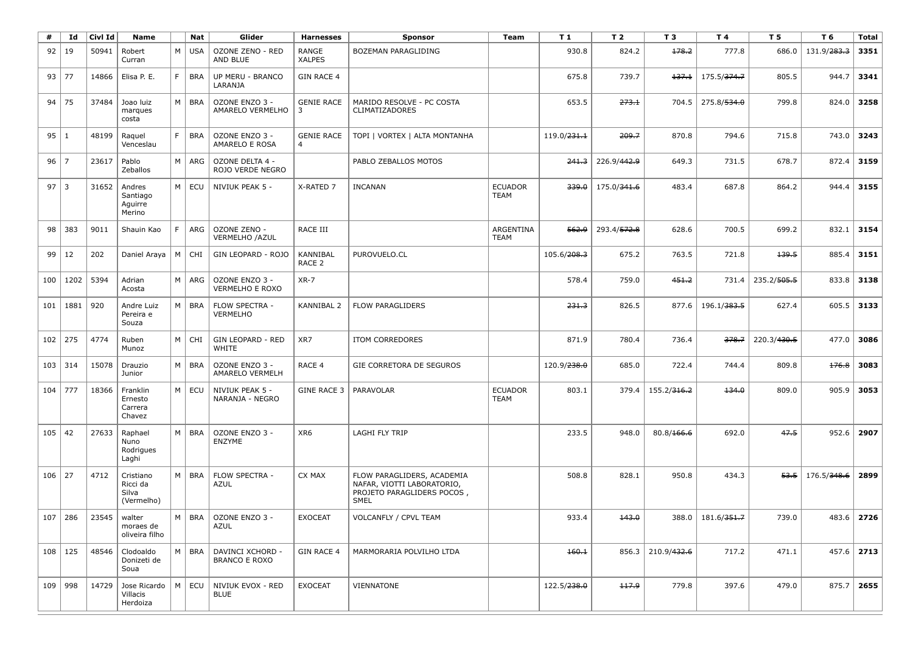| #           | Id          | Civl Id | <b>Name</b>                                  |    | Nat           | Glider                                   | <b>Harnesses</b>                    | Sponsor                                                                                               | Team                          | T <sub>1</sub>          | T <sub>2</sub> | T <sub>3</sub>          | T4                      | T 5         | T 6                     | <b>Total</b> |
|-------------|-------------|---------|----------------------------------------------|----|---------------|------------------------------------------|-------------------------------------|-------------------------------------------------------------------------------------------------------|-------------------------------|-------------------------|----------------|-------------------------|-------------------------|-------------|-------------------------|--------------|
| 92          | 19          | 50941   | Robert<br>Curran                             | M  | <b>USA</b>    | OZONE ZENO - RED<br>AND BLUE             | RANGE<br><b>XALPES</b>              | BOZEMAN PARAGLIDING                                                                                   |                               | 930.8                   | 824.2          | 178.2                   | 777.8                   | 686.0       | 131.9/283.3             | 3351         |
|             | 93   77     | 14866   | Elisa P. E.                                  | F. | <b>BRA</b>    | UP MERU - BRANCO<br>LARANJA              | <b>GIN RACE 4</b>                   |                                                                                                       |                               | 675.8                   | 739.7          | 137.1                   | 175.5/ <del>374.7</del> | 805.5       | 944.7                   | 3341         |
| 94          | 75          | 37484   | Joao luiz<br>marques<br>costa                | M  | <b>BRA</b>    | OZONE ENZO 3 -<br>AMARELO VERMELHO       | <b>GENIE RACE</b><br>3              | MARIDO RESOLVE - PC COSTA<br><b>CLIMATIZADORES</b>                                                    |                               | 653.5                   | 273.1          | 704.5                   | 275.8/534.0             | 799.8       | 824.0                   | 3258         |
| 95 1        |             | 48199   | Raquel<br>Venceslau                          | F. | <b>BRA</b>    | OZONE ENZO 3 -<br>AMARELO E ROSA         | <b>GENIE RACE</b><br>$\overline{4}$ | TOPI   VORTEX   ALTA MONTANHA                                                                         |                               | 119.0/ <del>231.1</del> | 209.7          | 870.8                   | 794.6                   | 715.8       | 743.0                   | 3243         |
| $96$   7    |             | 23617   | Pablo<br>Zeballos                            | M  | ARG           | OZONE DELTA 4 -<br>ROJO VERDE NEGRO      |                                     | PABLO ZEBALLOS MOTOS                                                                                  |                               | 241.3                   | 226.9/442.9    | 649.3                   | 731.5                   | 678.7       | 872.4                   | 3159         |
| $97 \mid 3$ |             | 31652   | Andres<br>Santiago<br>Aguirre<br>Merino      | M  | ECU           | NIVIUK PEAK 5 -                          | X-RATED 7                           | <b>INCANAN</b>                                                                                        | <b>ECUADOR</b><br><b>TEAM</b> | 339.0                   | 175.0/341.6    | 483.4                   | 687.8                   | 864.2       | 944.4                   | 3155         |
| 98          | 383         | 9011    | Shauin Kao                                   | F  | ARG           | OZONE ZENO -<br>VERMELHO / AZUL          | RACE III                            |                                                                                                       | ARGENTINA<br><b>TEAM</b>      | 562.9                   | 293.4/572.8    | 628.6                   | 700.5                   | 699.2       | 832.1                   | 3154         |
| 99          | 12          | 202     | Daniel Araya                                 | M  | CHI           | GIN LEOPARD - ROJO                       | KANNIBAL<br>RACE 2                  | PUROVUELO.CL                                                                                          |                               | 105.6/ <del>208.3</del> | 675.2          | 763.5                   | 721.8                   | 139.5       | 885.4                   | 3151         |
| 100         | 1202        | 5394    | Adrian<br>Acosta                             | M  | ARG           | OZONE ENZO 3 -<br><b>VERMELHO E ROXO</b> | $XR-7$                              |                                                                                                       |                               | 578.4                   | 759.0          | 451.2                   | 731.4                   | 235.2/505.5 | 833.8                   | 3138         |
| 101         | 1881        | 920     | Andre Luiz<br>Pereira e<br>Souza             | M  | <b>BRA</b>    | FLOW SPECTRA -<br><b>VERMELHO</b>        | KANNIBAL 2                          | <b>FLOW PARAGLIDERS</b>                                                                               |                               | 231.3                   | 826.5          | 877.6                   | 196.1/383.5             | 627.4       | 605.5                   | 3133         |
| 102         | 275         | 4774    | Ruben<br>Munoz                               | M  | CHI           | <b>GIN LEOPARD - RED</b><br>WHITE        | XR7                                 | <b>ITOM CORREDORES</b>                                                                                |                               | 871.9                   | 780.4          | 736.4                   | 378.7                   | 220.3/430.5 | 477.0                   | 3086         |
| 103         | 314         | 15078   | Drauzio<br>Junior                            | M  | <b>BRA</b>    | OZONE ENZO 3 -<br><b>AMARELO VERMELH</b> | RACE 4                              | GIE CORRETORA DE SEGUROS                                                                              |                               | 120.9/238.0             | 685.0          | 722.4                   | 744.4                   | 809.8       | 176.8                   | 3083         |
| 104         | 777         | 18366   | Franklin<br>Ernesto<br>Carrera<br>Chavez     | M  | ECU           | NIVIUK PEAK 5 -<br>NARANJA - NEGRO       | GINE RACE 3                         | PARAVOLAR                                                                                             | <b>ECUADOR</b><br><b>TEAM</b> | 803.1                   | 379.4          | 155.2/ <del>316.2</del> | 134.0                   | 809.0       | 905.9                   | 3053         |
| 105         | 42          | 27633   | Raphael<br>Nuno<br>Rodrigues<br>Laghi        | M  | <b>BRA</b>    | OZONE ENZO 3 -<br><b>ENZYME</b>          | XR <sub>6</sub>                     | LAGHI FLY TRIP                                                                                        |                               | 233.5                   | 948.0          | 80.8/166.6              | 692.0                   | 47.5        | 952.6                   | 2907         |
| $106$   27  |             | 4712    | Cristiano<br>Ricci da<br>Silva<br>(Vermelho) | M  | <b>BRA</b>    | FLOW SPECTRA -<br><b>AZUL</b>            | CX MAX                              | FLOW PARAGLIDERS, ACADEMIA<br>NAFAR, VIOTTI LABORATORIO,<br>PROJETO PARAGLIDERS POCOS,<br><b>SMEL</b> |                               | 508.8                   | 828.1          | 950.8                   | 434.3                   | 53.5        | 176.5/ <del>348.6</del> | 2899         |
|             | $107$ 286   | 23545   | walter<br>moraes de<br>oliveira filho        |    | $M \vert BRA$ | OZONE ENZO 3<br>AZUL                     | <b>EXOCEAT</b>                      | VOLCANFLY / CPVL TEAM                                                                                 |                               | 933.4                   | 143.0          |                         | 388.0 181.6/351.7       | 739.0       |                         | $483.6$ 2726 |
|             | $108$   125 | 48546   | Clodoaldo<br>Donizeti de<br>Soua             | M  | BRA           | DAVINCI XCHORD -<br><b>BRANCO E ROXO</b> | <b>GIN RACE 4</b>                   | MARMORARIA POLVILHO LTDA                                                                              |                               | 160.1                   |                | 856.3 210.9/432.6       | 717.2                   | 471.1       |                         | $457.6$ 2713 |
|             | 109   998   | 14729   | Jose Ricardo   M  <br>Villacis<br>Herdoiza   |    | ECU           | NIVIUK EVOX - RED<br><b>BLUE</b>         | <b>EXOCEAT</b>                      | VIENNATONE                                                                                            |                               | 122.5/ <del>238.0</del> | 117.9          | 779.8                   | 397.6                   | 479.0       |                         | $875.7$ 2655 |